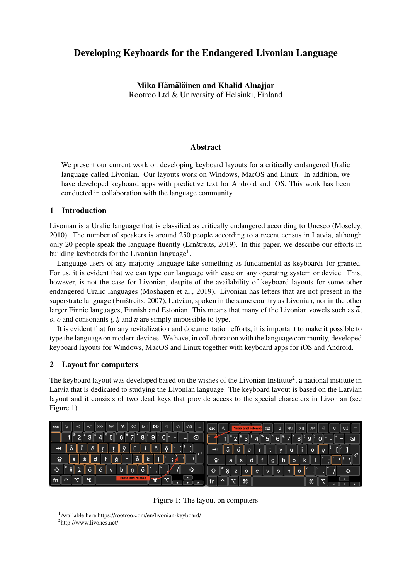# Developing Keyboards for the Endangered Livonian Language

Mika Hämäläinen and Khalid Alnajjar Rootroo Ltd & University of Helsinki, Finland

### Abstract

We present our current work on developing keyboard layouts for a critically endangered Uralic language called Livonian. Our layouts work on Windows, MacOS and Linux. In addition, we have developed keyboard apps with predictive text for Android and iOS. This work has been conducted in collaboration with the language community.

#### 1 Introduction

Livonian is a Uralic language that is classified as critically endangered according to Unesco (Moseley, 2010). The number of speakers is around 250 people according to a recent census in Latvia, although only 20 people speak the language fluently (Ernštreits, 2019). In this paper, we describe our efforts in building keyboards for the Livonian language<sup>1</sup>.

Language users of any majority language take something as fundamental as keyboards for granted. For us, it is evident that we can type our language with ease on any operating system or device. This, however, is not the case for Livonian, despite of the availability of keyboard layouts for some other endangered Uralic languages (Moshagen et al., 2019). Livonian has letters that are not present in the superstrate language (Ernštreits, 2007), Latvian, spoken in the same country as Livonian, nor in the other larger Finnic languages, Finnish and Estonian. This means that many of the Livonian vowels such as  $\overline{\ddot{a}}$ ,  $\overline{\delta}$ ,  $\dot{\delta}$  and consonants *l*, *k* and *n* are simply impossible to type.

It is evident that for any revitalization and documentation efforts, it is important to make it possible to type the language on modern devices. We have, in collaboration with the language community, developed keyboard layouts for Windows, MacOS and Linux together with keyboard apps for iOS and Android.

## 2 Layout for computers

The keyboard layout was developed based on the wishes of the Livonian Institute<sup>2</sup>, a national institute in Latvia that is dedicated to studying the Livonian language. The keyboard layout is based on the Latvian layout and it consists of two dead keys that provide access to the special characters in Livonian (see Figure 1).



Figure 1: The layout on computers

<sup>1</sup>Avaliable here https://rootroo.com/en/livonian-keyboard/

<sup>&</sup>lt;sup>2</sup>http://www.livones.net/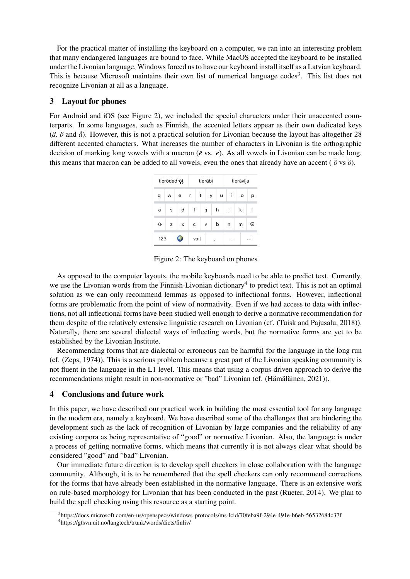For the practical matter of installing the keyboard on a computer, we ran into an interesting problem that many endangered languages are bound to face. While MacOS accepted the keyboard to be installed under the Livonian language, Windows forced us to have our keyboard install itself as a Latvian keyboard. This is because Microsoft maintains their own list of numerical language codes<sup>3</sup>. This list does not recognize Livonian at all as a language.

## 3 Layout for phones

For Android and iOS (see Figure 2), we included the special characters under their unaccented counterparts. In some languages, such as Finnish, the accented letters appear as their own dedicated keys  $(\ddot{a}, \ddot{o} \text{ and } \hat{a})$ . However, this is not a practical solution for Livonian because the layout has altogether 28 different accented characters. What increases the number of characters in Livonian is the orthographic decision of marking long vowels with a macron ( $\bar{e}$  vs.  $e$ ). As all vowels in Livonian can be made long, this means that macron can be added to all vowels, even the ones that already have an accent ( $\frac{\partial}{\partial}$  vs  $\delta$ ).

|     | tierōdadrōț |   |      | tierābi |   |        | tierāvīļa |   |  |
|-----|-------------|---|------|---------|---|--------|-----------|---|--|
| q   | W           | e | r    | t<br>У  |   | i<br>u | o         | р |  |
| a   | S           | d | f    | g       | h | İ      | k         |   |  |
| ♦   | Z           | X | c    | V       | b | n      | m         | ⊗ |  |
| 123 |             |   | vait |         | ı |        |           |   |  |

Figure 2: The keyboard on phones

As opposed to the computer layouts, the mobile keyboards need to be able to predict text. Currently, we use the Livonian words from the Finnish-Livonian dictionary<sup>4</sup> to predict text. This is not an optimal solution as we can only recommend lemmas as opposed to inflectional forms. However, inflectional forms are problematic from the point of view of normativity. Even if we had access to data with inflections, not all inflectional forms have been studied well enough to derive a normative recommendation for them despite of the relatively extensive linguistic research on Livonian (cf. (Tuisk and Pajusalu, 2018)). Naturally, there are several dialectal ways of inflecting words, but the normative forms are yet to be established by the Livonian Institute.

Recommending forms that are dialectal or erroneous can be harmful for the language in the long run (cf. (Zeps, 1974)). This is a serious problem because a great part of the Livonian speaking community is not fluent in the language in the L1 level. This means that using a corpus-driven approach to derive the recommendations might result in non-normative or "bad" Livonian (cf. (Hämäläinen, 2021)).

## 4 Conclusions and future work

In this paper, we have described our practical work in building the most essential tool for any language in the modern era, namely a keyboard. We have described some of the challenges that are hindering the development such as the lack of recognition of Livonian by large companies and the reliability of any existing corpora as being representative of "good" or normative Livonian. Also, the language is under a process of getting normative forms, which means that currently it is not always clear what should be considered "good" and "bad" Livonian.

Our immediate future direction is to develop spell checkers in close collaboration with the language community. Although, it is to be remembered that the spell checkers can only recommend corrections for the forms that have already been established in the normative language. There is an extensive work on rule-based morphology for Livonian that has been conducted in the past (Rueter, 2014). We plan to build the spell checking using this resource as a starting point.

<sup>3</sup> https://docs.microsoft.com/en-us/openspecs/windows protocols/ms-lcid/70feba9f-294e-491e-b6eb-56532684c37f 4 https://gtsvn.uit.no/langtech/trunk/words/dicts/finliv/